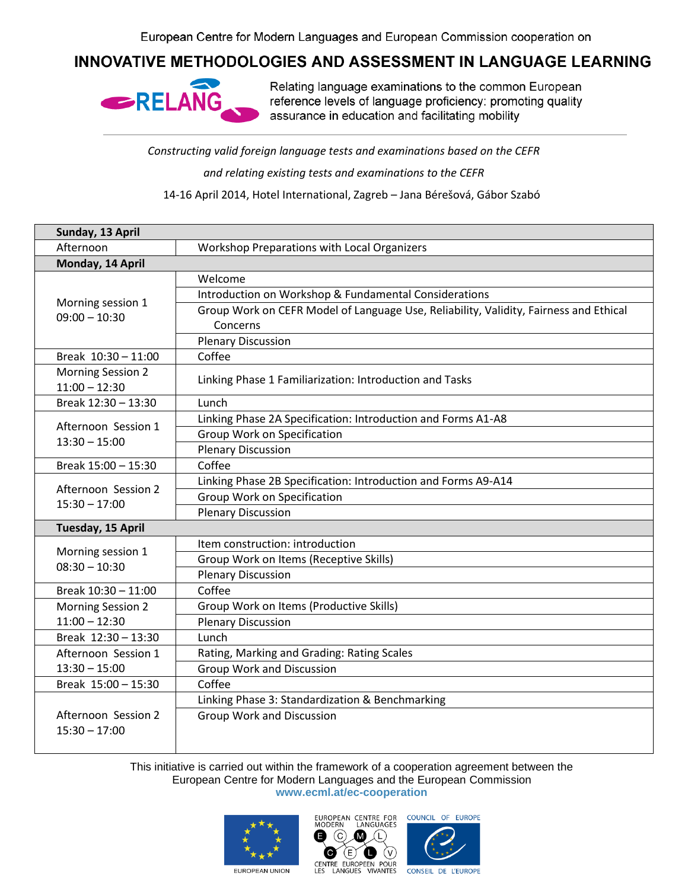## INNOVATIVE METHODOLOGIES AND ASSESSMENT IN LANGUAGE LEARNING



Relating language examinations to the common European reference levels of language proficiency: promoting quality assurance in education and facilitating mobility

*Constructing valid foreign language tests and examinations based on the CEFR* 

*and relating existing tests and examinations to the CEFR*

14-16 April 2014, Hotel International, Zagreb – Jana Bérešová, Gábor Szabó

| Sunday, 13 April                            |                                                                                                   |  |
|---------------------------------------------|---------------------------------------------------------------------------------------------------|--|
| Afternoon                                   | Workshop Preparations with Local Organizers                                                       |  |
| Monday, 14 April                            |                                                                                                   |  |
| Morning session 1<br>$09:00 - 10:30$        | Welcome                                                                                           |  |
|                                             | Introduction on Workshop & Fundamental Considerations                                             |  |
|                                             | Group Work on CEFR Model of Language Use, Reliability, Validity, Fairness and Ethical<br>Concerns |  |
|                                             | <b>Plenary Discussion</b>                                                                         |  |
| Break 10:30 - 11:00                         | Coffee                                                                                            |  |
| <b>Morning Session 2</b><br>$11:00 - 12:30$ | Linking Phase 1 Familiarization: Introduction and Tasks                                           |  |
| Break 12:30 - 13:30                         | Lunch                                                                                             |  |
| Afternoon Session 1<br>$13:30 - 15:00$      | Linking Phase 2A Specification: Introduction and Forms A1-A8                                      |  |
|                                             | Group Work on Specification                                                                       |  |
|                                             | <b>Plenary Discussion</b>                                                                         |  |
| Break 15:00 - 15:30                         | Coffee                                                                                            |  |
|                                             | Linking Phase 2B Specification: Introduction and Forms A9-A14                                     |  |
| Afternoon Session 2<br>$15:30 - 17:00$      | <b>Group Work on Specification</b>                                                                |  |
|                                             | <b>Plenary Discussion</b>                                                                         |  |
| Tuesday, 15 April                           |                                                                                                   |  |
|                                             | Item construction: introduction                                                                   |  |
| Morning session 1<br>$08:30 - 10:30$        | Group Work on Items (Receptive Skills)                                                            |  |
|                                             | <b>Plenary Discussion</b>                                                                         |  |
| Break 10:30 - 11:00                         | Coffee                                                                                            |  |
| <b>Morning Session 2</b>                    | Group Work on Items (Productive Skills)                                                           |  |
| $11:00 - 12:30$                             | <b>Plenary Discussion</b>                                                                         |  |
| Break 12:30 - 13:30                         | Lunch                                                                                             |  |
| Afternoon Session 1                         | Rating, Marking and Grading: Rating Scales                                                        |  |
| $13:30 - 15:00$                             | <b>Group Work and Discussion</b>                                                                  |  |
| Break 15:00 - 15:30                         | Coffee                                                                                            |  |
|                                             | Linking Phase 3: Standardization & Benchmarking                                                   |  |
| Afternoon Session 2<br>$15:30 - 17:00$      | <b>Group Work and Discussion</b>                                                                  |  |

This initiative is carried out within the framework of a cooperation agreement between the European Centre for Modern Languages and the European Commission **www.ecml.at/ec-cooperation**